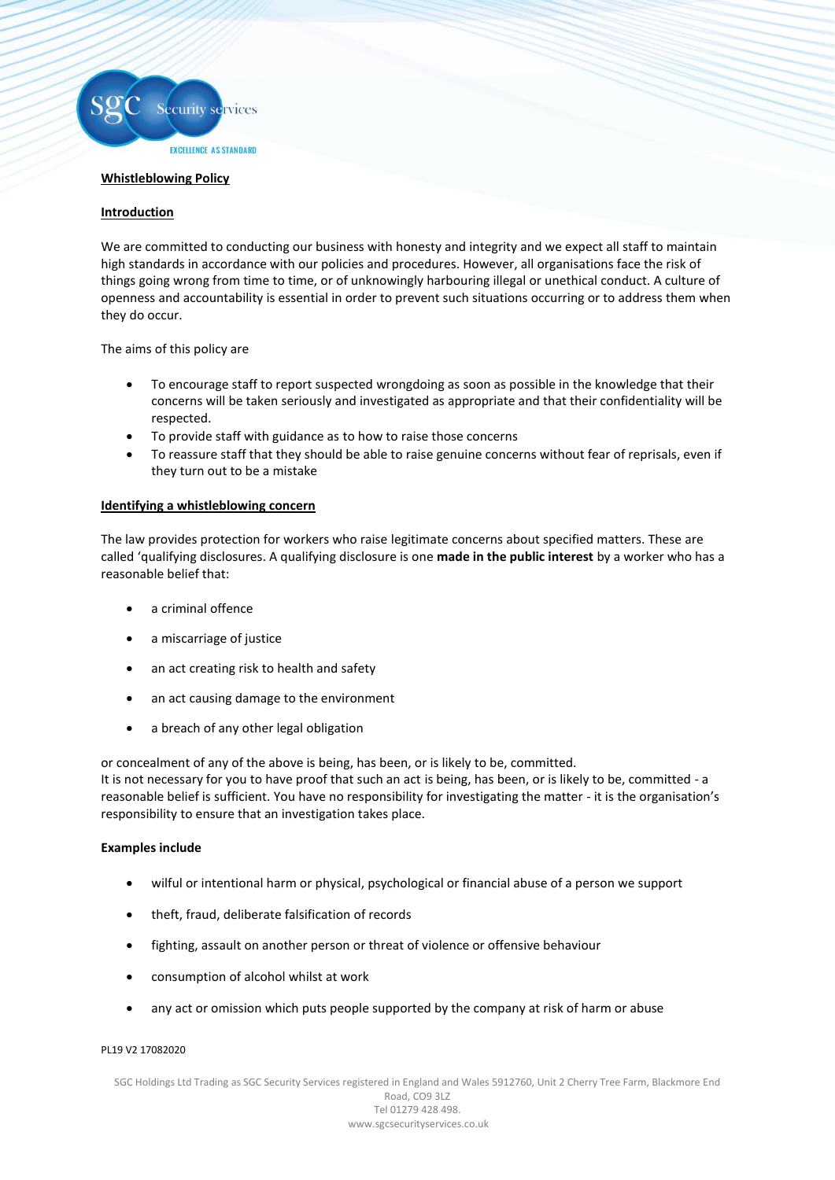

#### **Whistleblowing Policy**

# **Introduction**

We are committed to conducting our business with honesty and integrity and we expect all staff to maintain high standards in accordance with our policies and procedures. However, all organisations face the risk of things going wrong from time to time, or of unknowingly harbouring illegal or unethical conduct. A culture of openness and accountability is essential in order to prevent such situations occurring or to address them when they do occur.

The aims of this policy are

- To encourage staff to report suspected wrongdoing as soon as possible in the knowledge that their concerns will be taken seriously and investigated as appropriate and that their confidentiality will be respected.
- To provide staff with guidance as to how to raise those concerns
- To reassure staff that they should be able to raise genuine concerns without fear of reprisals, even if they turn out to be a mistake

# **Identifying a whistleblowing concern**

The law provides protection for workers who raise legitimate concerns about specified matters. These are called 'qualifying disclosures. A qualifying disclosure is one **made in the public interest** by a worker who has a reasonable belief that:

- a criminal offence
- a miscarriage of justice
- an act creating risk to health and safety
- an act causing damage to the environment
- a breach of any other legal obligation

or concealment of any of the above is being, has been, or is likely to be, committed. It is not necessary for you to have proof that such an act is being, has been, or is likely to be, committed - a reasonable belief is sufficient. You have no responsibility for investigating the matter - it is the organisation's responsibility to ensure that an investigation takes place.

# **Examples include**

- wilful or intentional harm or physical, psychological or financial abuse of a person we support
- theft, fraud, deliberate falsification of records
- fighting, assault on another person or threat of violence or offensive behaviour
- consumption of alcohol whilst at work
- any act or omission which puts people supported by the company at risk of harm or abuse

#### PL19 V2 17082020

SGC Holdings Ltd Trading as SGC Security Services registered in England and Wales 5912760, Unit 2 Cherry Tree Farm, Blackmore End Road, CO9 3LZ Tel 01279 428 498. www.sgcsecurityservices.co.uk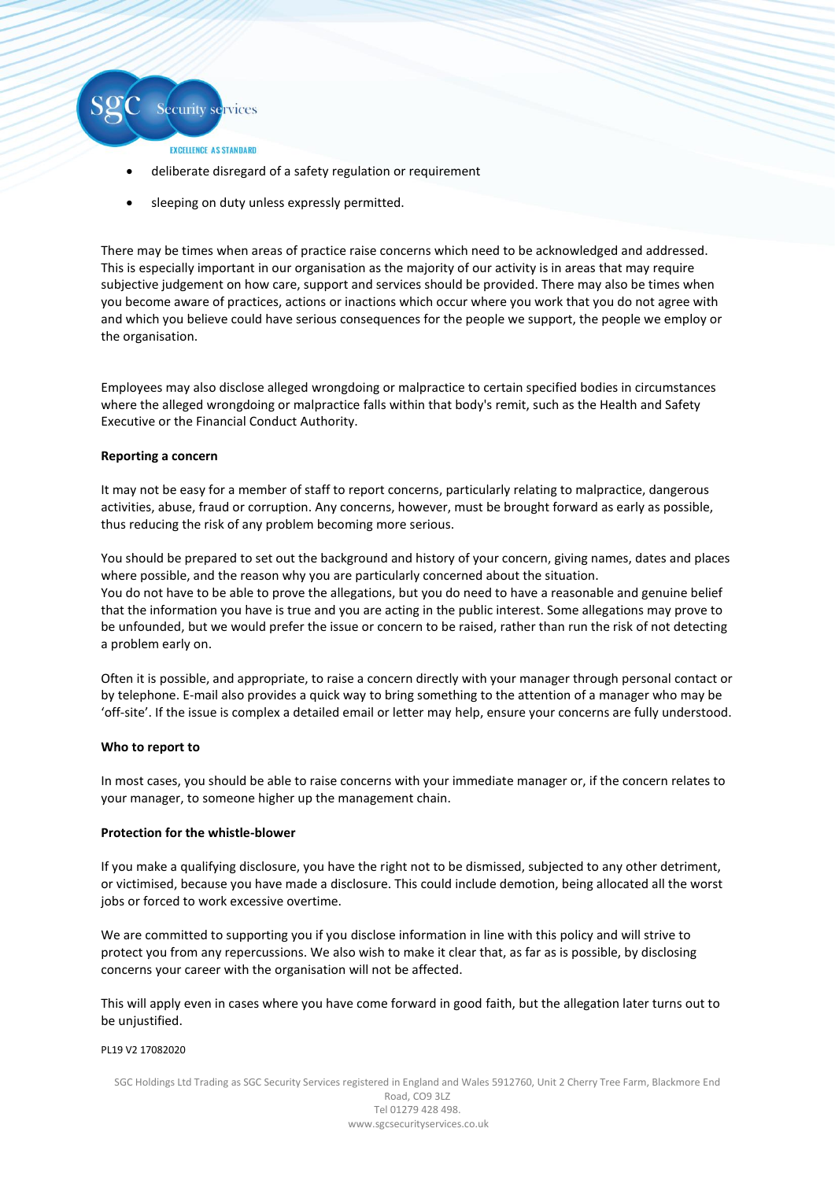

- EXCELLENCE AS STANDARD
- deliberate disregard of a safety regulation or requirement
- sleeping on duty unless expressly permitted.

There may be times when areas of practice raise concerns which need to be acknowledged and addressed. This is especially important in our organisation as the majority of our activity is in areas that may require subjective judgement on how care, support and services should be provided. There may also be times when you become aware of practices, actions or inactions which occur where you work that you do not agree with and which you believe could have serious consequences for the people we support, the people we employ or the organisation.

Employees may also disclose alleged wrongdoing or malpractice to certain specified bodies in circumstances where the alleged wrongdoing or malpractice falls within that body's remit, such as the Health and Safety Executive or the Financial Conduct Authority.

# **Reporting a concern**

It may not be easy for a member of staff to report concerns, particularly relating to malpractice, dangerous activities, abuse, fraud or corruption. Any concerns, however, must be brought forward as early as possible, thus reducing the risk of any problem becoming more serious.

You should be prepared to set out the background and history of your concern, giving names, dates and places where possible, and the reason why you are particularly concerned about the situation. You do not have to be able to prove the allegations, but you do need to have a reasonable and genuine belief that the information you have is true and you are acting in the public interest. Some allegations may prove to be unfounded, but we would prefer the issue or concern to be raised, rather than run the risk of not detecting a problem early on.

Often it is possible, and appropriate, to raise a concern directly with your manager through personal contact or by telephone. E-mail also provides a quick way to bring something to the attention of a manager who may be 'off-site'. If the issue is complex a detailed email or letter may help, ensure your concerns are fully understood.

# **Who to report to**

In most cases, you should be able to raise concerns with your immediate manager or, if the concern relates to your manager, to someone higher up the management chain.

# **Protection for the whistle-blower**

If you make a qualifying disclosure, you have the right not to be dismissed, subjected to any other detriment, or victimised, because you have made a disclosure. This could include demotion, being allocated all the worst jobs or forced to work excessive overtime.

We are committed to supporting you if you disclose information in line with this policy and will strive to protect you from any repercussions. We also wish to make it clear that, as far as is possible, by disclosing concerns your career with the organisation will not be affected.

This will apply even in cases where you have come forward in good faith, but the allegation later turns out to be unjustified.

# PL19 V2 17082020

SGC Holdings Ltd Trading as SGC Security Services registered in England and Wales 5912760, Unit 2 Cherry Tree Farm, Blackmore End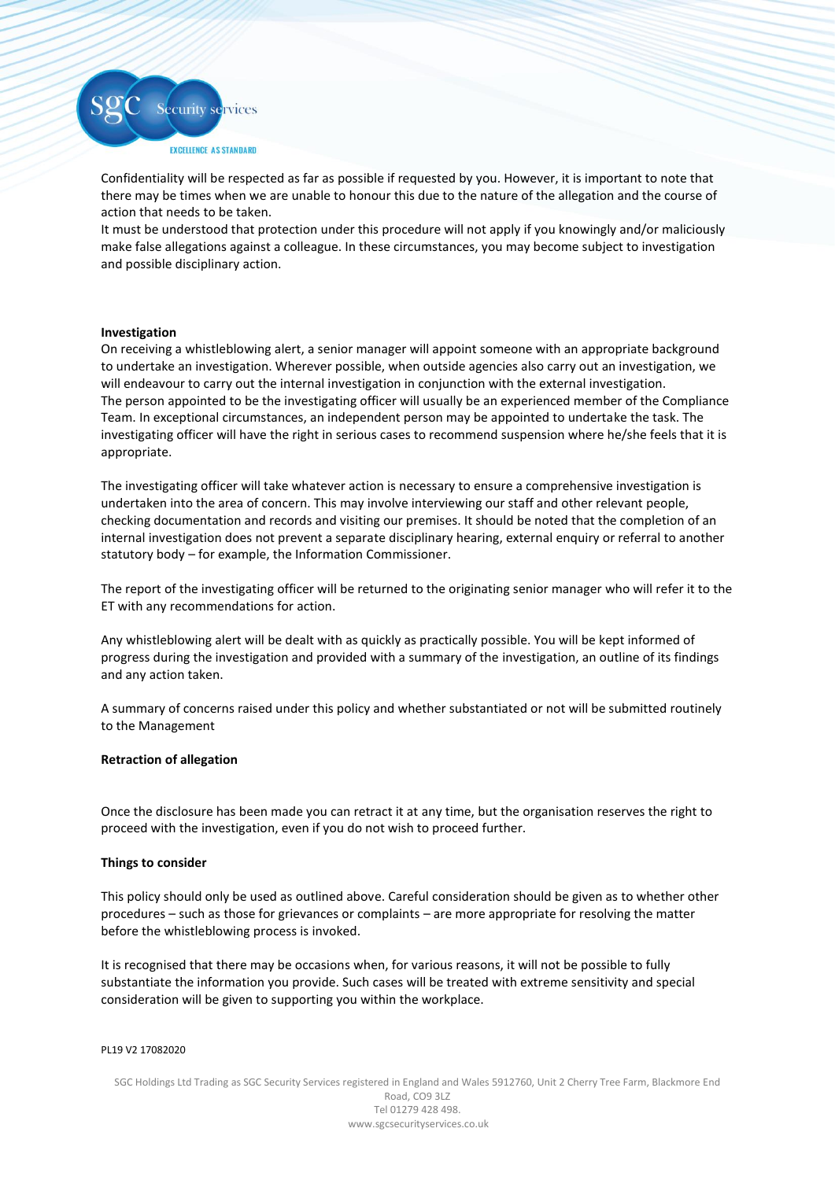

Confidentiality will be respected as far as possible if requested by you. However, it is important to note that there may be times when we are unable to honour this due to the nature of the allegation and the course of action that needs to be taken.

It must be understood that protection under this procedure will not apply if you knowingly and/or maliciously make false allegations against a colleague. In these circumstances, you may become subject to investigation and possible disciplinary action.

# **Investigation**

On receiving a whistleblowing alert, a senior manager will appoint someone with an appropriate background to undertake an investigation. Wherever possible, when outside agencies also carry out an investigation, we will endeavour to carry out the internal investigation in conjunction with the external investigation. The person appointed to be the investigating officer will usually be an experienced member of the Compliance Team. In exceptional circumstances, an independent person may be appointed to undertake the task. The investigating officer will have the right in serious cases to recommend suspension where he/she feels that it is appropriate.

The investigating officer will take whatever action is necessary to ensure a comprehensive investigation is undertaken into the area of concern. This may involve interviewing our staff and other relevant people, checking documentation and records and visiting our premises. It should be noted that the completion of an internal investigation does not prevent a separate disciplinary hearing, external enquiry or referral to another statutory body – for example, the Information Commissioner.

The report of the investigating officer will be returned to the originating senior manager who will refer it to the ET with any recommendations for action.

Any whistleblowing alert will be dealt with as quickly as practically possible. You will be kept informed of progress during the investigation and provided with a summary of the investigation, an outline of its findings and any action taken.

A summary of concerns raised under this policy and whether substantiated or not will be submitted routinely to the Management

#### **Retraction of allegation**

Once the disclosure has been made you can retract it at any time, but the organisation reserves the right to proceed with the investigation, even if you do not wish to proceed further.

#### **Things to consider**

This policy should only be used as outlined above. Careful consideration should be given as to whether other procedures – such as those for grievances or complaints – are more appropriate for resolving the matter before the whistleblowing process is invoked.

It is recognised that there may be occasions when, for various reasons, it will not be possible to fully substantiate the information you provide. Such cases will be treated with extreme sensitivity and special consideration will be given to supporting you within the workplace.

#### PL19 V2 17082020

SGC Holdings Ltd Trading as SGC Security Services registered in England and Wales 5912760, Unit 2 Cherry Tree Farm, Blackmore End Road, CO9 3LZ Tel 01279 428 498. www.sgcsecurityservices.co.uk